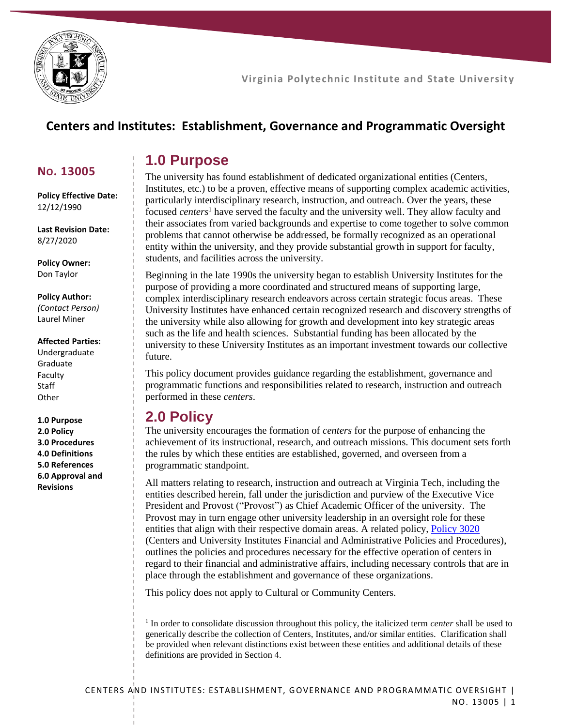

**NO. 13005**

12/12/1990

8/27/2020

**Policy Owner:** Don Taylor

**Policy Author:**

**Policy Effective Date:**

**Virginia Polytechnic Institute and State University**

### **Centers and Institutes: Establishment, Governance and Programmatic Oversight**

### **1.0 Purpose**

The university has found establishment of dedicated organizational entities (Centers, Institutes, etc.) to be a proven, effective means of supporting complex academic activities, particularly interdisciplinary research, instruction, and outreach. Over the years, these focused *centers*<sup>1</sup> have served the faculty and the university well. They allow faculty and their associates from varied backgrounds and expertise to come together to solve common problems that cannot otherwise be addressed, be formally recognized as an operational entity within the university, and they provide substantial growth in support for faculty, students, and facilities across the university.

Beginning in the late 1990s the university began to establish University Institutes for the purpose of providing a more coordinated and structured means of supporting large, complex interdisciplinary research endeavors across certain strategic focus areas. These University Institutes have enhanced certain recognized research and discovery strengths of the university while also allowing for growth and development into key strategic areas such as the life and health sciences. Substantial funding has been allocated by the university to these University Institutes as an important investment towards our collective future.

This policy document provides guidance regarding the establishment, governance and programmatic functions and responsibilities related to research, instruction and outreach performed in these *centers*.

### **2.0 Policy**

The university encourages the formation of *centers* for the purpose of enhancing the achievement of its instructional, research, and outreach missions. This document sets forth the rules by which these entities are established, governed, and overseen from a programmatic standpoint.

All matters relating to research, instruction and outreach at Virginia Tech, including the entities described herein, fall under the jurisdiction and purview of the Executive Vice President and Provost ("Provost") as Chief Academic Officer of the university. The Provost may in turn engage other university leadership in an oversight role for these entities that align with their respective domain areas. A related policy[, Policy 3020](http://www.policies.vt.edu/3020.pdf) (Centers and University Institutes Financial and Administrative Policies and Procedures), outlines the policies and procedures necessary for the effective operation of centers in regard to their financial and administrative affairs, including necessary controls that are in place through the establishment and governance of these organizations.

This policy does not apply to Cultural or Community Centers.

<sup>1</sup> In order to consolidate discussion throughout this policy, the italicized term *center* shall be used to generically describe the collection of Centers, Institutes, and/or similar entities. Clarification shall be provided when relevant distinctions exist between these entities and additional details of these definitions are provided in Section 4.

**Last Revision Date:**

*(Contact Person)* Laurel Miner

#### **Affected Parties:**

Undergraduate Graduate Faculty **Staff Other** 

**1.0 Purpose 2.0 Policy 3.0 Procedures 4.0 Definitions 5.0 References 6.0 Approval and Revisions**

 $\ddot{\phantom{a}}$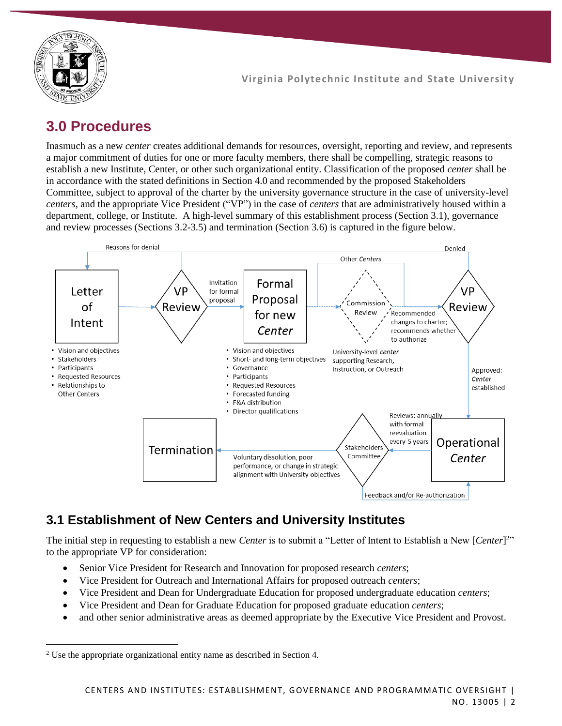

# **3.0 Procedures**

Inasmuch as a new *center* creates additional demands for resources, oversight, reporting and review, and represents a major commitment of duties for one or more faculty members, there shall be compelling, strategic reasons to establish a new Institute, Center, or other such organizational entity. Classification of the proposed *center* shall be in accordance with the stated definitions in Section 4.0 and recommended by the proposed Stakeholders Committee, subject to approval of the charter by the university governance structure in the case of university-level *centers*, and the appropriate Vice President ("VP") in the case of *centers* that are administratively housed within a department, college, or Institute. A high-level summary of this establishment process (Section 3.1), governance and review processes (Sections 3.2-3.5) and termination (Section 3.6) is captured in the figure below.



## **3.1 Establishment of New Centers and University Institutes**

The initial step in requesting to establish a new *Center* is to submit a "Letter of Intent to Establish a New [*Center*] 2 " to the appropriate VP for consideration:

- Senior Vice President for Research and Innovation for proposed research *centers*;
- Vice President for Outreach and International Affairs for proposed outreach *centers*;
- Vice President and Dean for Undergraduate Education for proposed undergraduate education *centers*;
- Vice President and Dean for Graduate Education for proposed graduate education *centers*;
- and other senior administrative areas as deemed appropriate by the Executive Vice President and Provost.

 $\overline{a}$ 

<sup>2</sup> Use the appropriate organizational entity name as described in Section 4.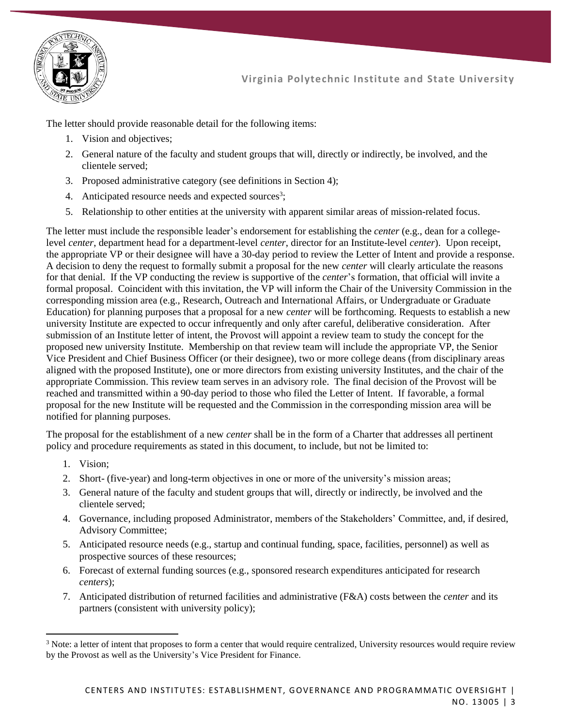

The letter should provide reasonable detail for the following items:

- 1. Vision and objectives;
- 2. General nature of the faculty and student groups that will, directly or indirectly, be involved, and the clientele served;
- 3. Proposed administrative category (see definitions in Section 4);
- 4. Anticipated resource needs and expected sources<sup>3</sup>;
- 5. Relationship to other entities at the university with apparent similar areas of mission-related focus.

The letter must include the responsible leader's endorsement for establishing the *center* (e.g., dean for a collegelevel *center*, department head for a department-level *center*, director for an Institute-level *center*). Upon receipt, the appropriate VP or their designee will have a 30-day period to review the Letter of Intent and provide a response. A decision to deny the request to formally submit a proposal for the new *center* will clearly articulate the reasons for that denial. If the VP conducting the review is supportive of the *center*'s formation, that official will invite a formal proposal. Coincident with this invitation, the VP will inform the Chair of the University Commission in the corresponding mission area (e.g., Research, Outreach and International Affairs, or Undergraduate or Graduate Education) for planning purposes that a proposal for a new *center* will be forthcoming. Requests to establish a new university Institute are expected to occur infrequently and only after careful, deliberative consideration. After submission of an Institute letter of intent, the Provost will appoint a review team to study the concept for the proposed new university Institute. Membership on that review team will include the appropriate VP, the Senior Vice President and Chief Business Officer (or their designee), two or more college deans (from disciplinary areas aligned with the proposed Institute), one or more directors from existing university Institutes, and the chair of the appropriate Commission. This review team serves in an advisory role. The final decision of the Provost will be reached and transmitted within a 90-day period to those who filed the Letter of Intent. If favorable, a formal proposal for the new Institute will be requested and the Commission in the corresponding mission area will be notified for planning purposes.

The proposal for the establishment of a new *center* shall be in the form of a Charter that addresses all pertinent policy and procedure requirements as stated in this document, to include, but not be limited to:

1. Vision;

 $\ddot{\phantom{a}}$ 

- 2. Short- (five-year) and long-term objectives in one or more of the university's mission areas;
- 3. General nature of the faculty and student groups that will, directly or indirectly, be involved and the clientele served;
- 4. Governance, including proposed Administrator, members of the Stakeholders' Committee, and, if desired, Advisory Committee;
- 5. Anticipated resource needs (e.g., startup and continual funding, space, facilities, personnel) as well as prospective sources of these resources;
- 6. Forecast of external funding sources (e.g., sponsored research expenditures anticipated for research *centers*);
- 7. Anticipated distribution of returned facilities and administrative (F&A) costs between the *center* and its partners (consistent with university policy);

<sup>&</sup>lt;sup>3</sup> Note: a letter of intent that proposes to form a center that would require centralized, University resources would require review by the Provost as well as the University's Vice President for Finance.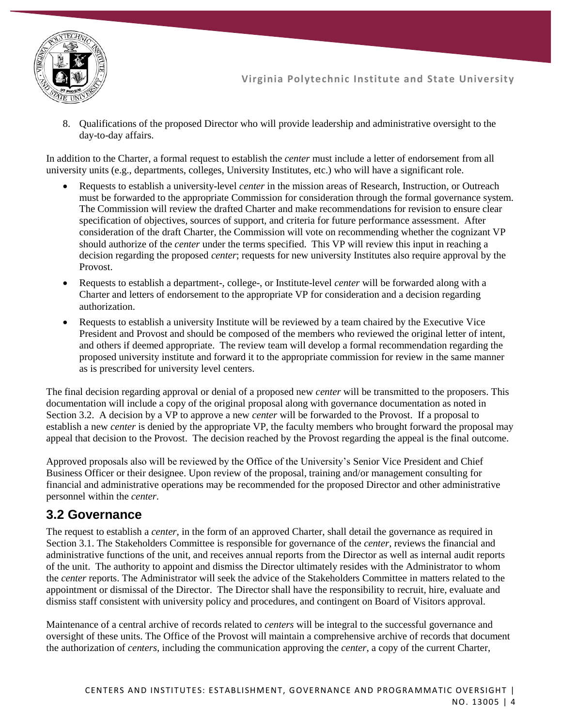

8. Qualifications of the proposed Director who will provide leadership and administrative oversight to the day-to-day affairs.

In addition to the Charter, a formal request to establish the *center* must include a letter of endorsement from all university units (e.g., departments, colleges, University Institutes, etc.) who will have a significant role.

- Requests to establish a university-level *center* in the mission areas of Research, Instruction, or Outreach must be forwarded to the appropriate Commission for consideration through the formal governance system. The Commission will review the drafted Charter and make recommendations for revision to ensure clear specification of objectives, sources of support, and criteria for future performance assessment. After consideration of the draft Charter, the Commission will vote on recommending whether the cognizant VP should authorize of the *center* under the terms specified. This VP will review this input in reaching a decision regarding the proposed *center*; requests for new university Institutes also require approval by the Provost.
- Requests to establish a department-, college-, or Institute-level *center* will be forwarded along with a Charter and letters of endorsement to the appropriate VP for consideration and a decision regarding authorization.
- Requests to establish a university Institute will be reviewed by a team chaired by the Executive Vice President and Provost and should be composed of the members who reviewed the original letter of intent, and others if deemed appropriate. The review team will develop a formal recommendation regarding the proposed university institute and forward it to the appropriate commission for review in the same manner as is prescribed for university level centers.

The final decision regarding approval or denial of a proposed new *center* will be transmitted to the proposers. This documentation will include a copy of the original proposal along with governance documentation as noted in Section 3.2. A decision by a VP to approve a new *center* will be forwarded to the Provost. If a proposal to establish a new *center* is denied by the appropriate VP, the faculty members who brought forward the proposal may appeal that decision to the Provost. The decision reached by the Provost regarding the appeal is the final outcome.

Approved proposals also will be reviewed by the Office of the University's Senior Vice President and Chief Business Officer or their designee. Upon review of the proposal, training and/or management consulting for financial and administrative operations may be recommended for the proposed Director and other administrative personnel within the *center*.

### **3.2 Governance**

The request to establish a *center*, in the form of an approved Charter, shall detail the governance as required in Section 3.1. The Stakeholders Committee is responsible for governance of the *center*, reviews the financial and administrative functions of the unit, and receives annual reports from the Director as well as internal audit reports of the unit. The authority to appoint and dismiss the Director ultimately resides with the Administrator to whom the *center* reports. The Administrator will seek the advice of the Stakeholders Committee in matters related to the appointment or dismissal of the Director. The Director shall have the responsibility to recruit, hire, evaluate and dismiss staff consistent with university policy and procedures, and contingent on Board of Visitors approval.

Maintenance of a central archive of records related to *centers* will be integral to the successful governance and oversight of these units. The Office of the Provost will maintain a comprehensive archive of records that document the authorization of *centers*, including the communication approving the *center*, a copy of the current Charter,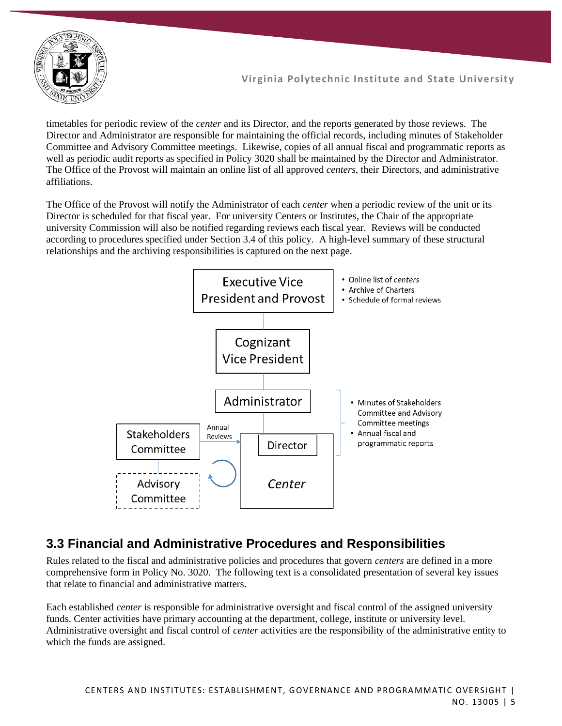

timetables for periodic review of the *center* and its Director, and the reports generated by those reviews. The Director and Administrator are responsible for maintaining the official records, including minutes of Stakeholder Committee and Advisory Committee meetings. Likewise, copies of all annual fiscal and programmatic reports as well as periodic audit reports as specified in Policy 3020 shall be maintained by the Director and Administrator. The Office of the Provost will maintain an online list of all approved *centers*, their Directors, and administrative affiliations.

The Office of the Provost will notify the Administrator of each *center* when a periodic review of the unit or its Director is scheduled for that fiscal year. For university Centers or Institutes, the Chair of the appropriate university Commission will also be notified regarding reviews each fiscal year. Reviews will be conducted according to procedures specified under Section 3.4 of this policy. A high-level summary of these structural relationships and the archiving responsibilities is captured on the next page.



### **3.3 Financial and Administrative Procedures and Responsibilities**

Rules related to the fiscal and administrative policies and procedures that govern *centers* are defined in a more comprehensive form in Policy No. 3020. The following text is a consolidated presentation of several key issues that relate to financial and administrative matters.

Each established *center* is responsible for administrative oversight and fiscal control of the assigned university funds. Center activities have primary accounting at the department, college, institute or university level. Administrative oversight and fiscal control of *center* activities are the responsibility of the administrative entity to which the funds are assigned.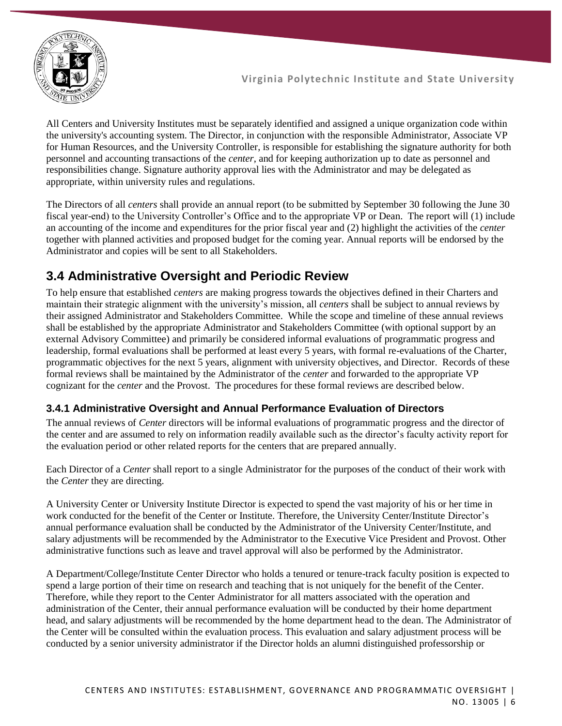

All Centers and University Institutes must be separately identified and assigned a unique organization code within the university's accounting system. The Director, in conjunction with the responsible Administrator, Associate VP for Human Resources, and the University Controller, is responsible for establishing the signature authority for both personnel and accounting transactions of the *center*, and for keeping authorization up to date as personnel and responsibilities change. Signature authority approval lies with the Administrator and may be delegated as appropriate, within university rules and regulations.

The Directors of all *centers* shall provide an annual report (to be submitted by September 30 following the June 30 fiscal year-end) to the University Controller's Office and to the appropriate VP or Dean. The report will (1) include an accounting of the income and expenditures for the prior fiscal year and (2) highlight the activities of the *center* together with planned activities and proposed budget for the coming year. Annual reports will be endorsed by the Administrator and copies will be sent to all Stakeholders.

### **3.4 Administrative Oversight and Periodic Review**

To help ensure that established *centers* are making progress towards the objectives defined in their Charters and maintain their strategic alignment with the university's mission, all *centers* shall be subject to annual reviews by their assigned Administrator and Stakeholders Committee. While the scope and timeline of these annual reviews shall be established by the appropriate Administrator and Stakeholders Committee (with optional support by an external Advisory Committee) and primarily be considered informal evaluations of programmatic progress and leadership, formal evaluations shall be performed at least every 5 years, with formal re-evaluations of the Charter, programmatic objectives for the next 5 years, alignment with university objectives, and Director. Records of these formal reviews shall be maintained by the Administrator of the *center* and forwarded to the appropriate VP cognizant for the *center* and the Provost. The procedures for these formal reviews are described below.

#### **3.4.1 Administrative Oversight and Annual Performance Evaluation of Directors**

The annual reviews of *Center* directors will be informal evaluations of programmatic progress and the director of the center and are assumed to rely on information readily available such as the director's faculty activity report for the evaluation period or other related reports for the centers that are prepared annually.

Each Director of a *Center* shall report to a single Administrator for the purposes of the conduct of their work with the *Center* they are directing.

A University Center or University Institute Director is expected to spend the vast majority of his or her time in work conducted for the benefit of the Center or Institute. Therefore, the University Center/Institute Director's annual performance evaluation shall be conducted by the Administrator of the University Center/Institute, and salary adjustments will be recommended by the Administrator to the Executive Vice President and Provost. Other administrative functions such as leave and travel approval will also be performed by the Administrator.

A Department/College/Institute Center Director who holds a tenured or tenure-track faculty position is expected to spend a large portion of their time on research and teaching that is not uniquely for the benefit of the Center. Therefore, while they report to the Center Administrator for all matters associated with the operation and administration of the Center, their annual performance evaluation will be conducted by their home department head, and salary adjustments will be recommended by the home department head to the dean. The Administrator of the Center will be consulted within the evaluation process. This evaluation and salary adjustment process will be conducted by a senior university administrator if the Director holds an alumni distinguished professorship or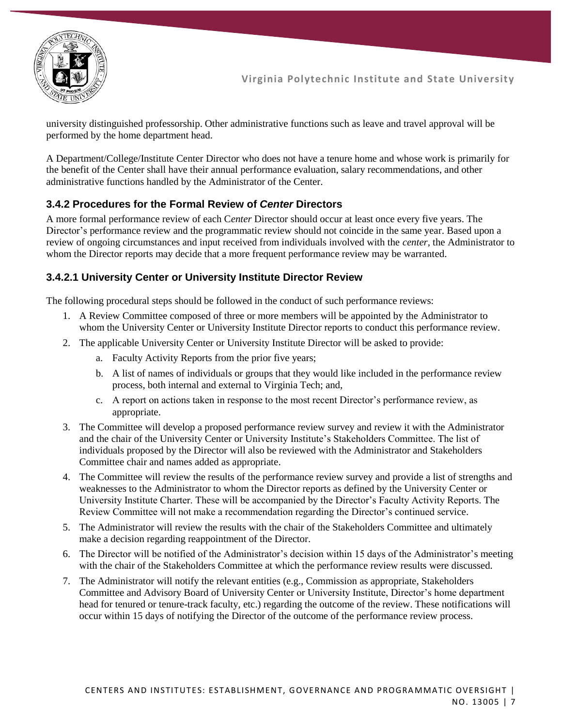

university distinguished professorship. Other administrative functions such as leave and travel approval will be performed by the home department head.

A Department/College/Institute Center Director who does not have a tenure home and whose work is primarily for the benefit of the Center shall have their annual performance evaluation, salary recommendations, and other administrative functions handled by the Administrator of the Center.

#### **3.4.2 Procedures for the Formal Review of** *Center* **Directors**

A more formal performance review of each C*enter* Director should occur at least once every five years. The Director's performance review and the programmatic review should not coincide in the same year. Based upon a review of ongoing circumstances and input received from individuals involved with the *center,* the Administrator to whom the Director reports may decide that a more frequent performance review may be warranted.

#### **3.4.2.1 University Center or University Institute Director Review**

The following procedural steps should be followed in the conduct of such performance reviews:

- 1. A Review Committee composed of three or more members will be appointed by the Administrator to whom the University Center or University Institute Director reports to conduct this performance review.
- 2. The applicable University Center or University Institute Director will be asked to provide:
	- a. Faculty Activity Reports from the prior five years;
	- b. A list of names of individuals or groups that they would like included in the performance review process, both internal and external to Virginia Tech; and,
	- c. A report on actions taken in response to the most recent Director's performance review, as appropriate.
- 3. The Committee will develop a proposed performance review survey and review it with the Administrator and the chair of the University Center or University Institute's Stakeholders Committee. The list of individuals proposed by the Director will also be reviewed with the Administrator and Stakeholders Committee chair and names added as appropriate.
- 4. The Committee will review the results of the performance review survey and provide a list of strengths and weaknesses to the Administrator to whom the Director reports as defined by the University Center or University Institute Charter. These will be accompanied by the Director's Faculty Activity Reports. The Review Committee will not make a recommendation regarding the Director's continued service.
- 5. The Administrator will review the results with the chair of the Stakeholders Committee and ultimately make a decision regarding reappointment of the Director.
- 6. The Director will be notified of the Administrator's decision within 15 days of the Administrator's meeting with the chair of the Stakeholders Committee at which the performance review results were discussed.
- 7. The Administrator will notify the relevant entities (e.g., Commission as appropriate, Stakeholders Committee and Advisory Board of University Center or University Institute, Director's home department head for tenured or tenure-track faculty, etc.) regarding the outcome of the review. These notifications will occur within 15 days of notifying the Director of the outcome of the performance review process.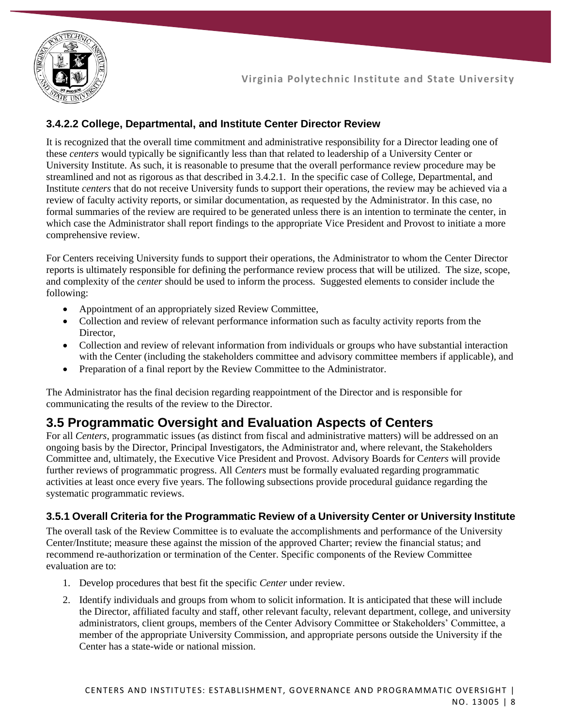

#### **3.4.2.2 College, Departmental, and Institute Center Director Review**

It is recognized that the overall time commitment and administrative responsibility for a Director leading one of these *centers* would typically be significantly less than that related to leadership of a University Center or University Institute. As such, it is reasonable to presume that the overall performance review procedure may be streamlined and not as rigorous as that described in 3.4.2.1. In the specific case of College, Departmental, and Institute *centers* that do not receive University funds to support their operations, the review may be achieved via a review of faculty activity reports, or similar documentation, as requested by the Administrator. In this case, no formal summaries of the review are required to be generated unless there is an intention to terminate the center, in which case the Administrator shall report findings to the appropriate Vice President and Provost to initiate a more comprehensive review.

For Centers receiving University funds to support their operations, the Administrator to whom the Center Director reports is ultimately responsible for defining the performance review process that will be utilized. The size, scope, and complexity of the *center* should be used to inform the process. Suggested elements to consider include the following:

- Appointment of an appropriately sized Review Committee,
- Collection and review of relevant performance information such as faculty activity reports from the Director.
- Collection and review of relevant information from individuals or groups who have substantial interaction with the Center (including the stakeholders committee and advisory committee members if applicable), and
- Preparation of a final report by the Review Committee to the Administrator.

The Administrator has the final decision regarding reappointment of the Director and is responsible for communicating the results of the review to the Director.

### **3.5 Programmatic Oversight and Evaluation Aspects of Centers**

For all *Centers*, programmatic issues (as distinct from fiscal and administrative matters) will be addressed on an ongoing basis by the Director, Principal Investigators, the Administrator and, where relevant, the Stakeholders Committee and, ultimately, the Executive Vice President and Provost. Advisory Boards for C*enters* will provide further reviews of programmatic progress. All *Centers* must be formally evaluated regarding programmatic activities at least once every five years. The following subsections provide procedural guidance regarding the systematic programmatic reviews.

#### **3.5.1 Overall Criteria for the Programmatic Review of a University Center or University Institute**

The overall task of the Review Committee is to evaluate the accomplishments and performance of the University Center/Institute; measure these against the mission of the approved Charter; review the financial status; and recommend re-authorization or termination of the Center. Specific components of the Review Committee evaluation are to:

- 1. Develop procedures that best fit the specific *Center* under review.
- 2. Identify individuals and groups from whom to solicit information. It is anticipated that these will include the Director, affiliated faculty and staff, other relevant faculty, relevant department, college, and university administrators, client groups, members of the Center Advisory Committee or Stakeholders' Committee, a member of the appropriate University Commission, and appropriate persons outside the University if the Center has a state-wide or national mission.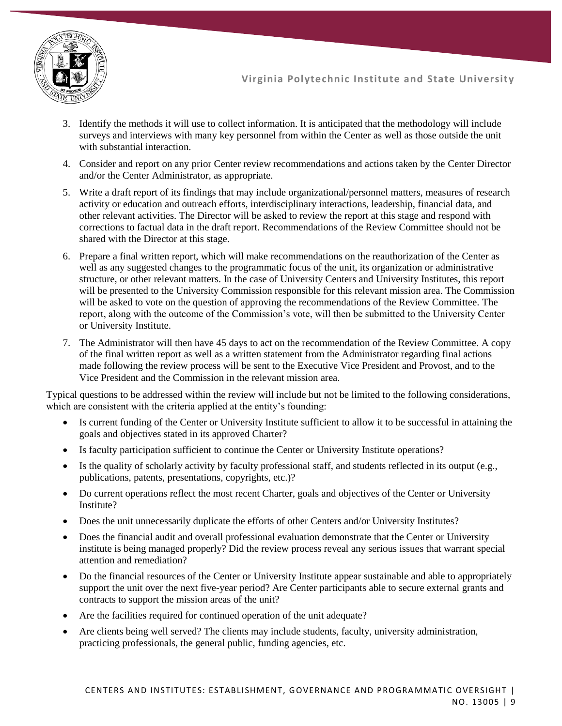

- 3. Identify the methods it will use to collect information. It is anticipated that the methodology will include surveys and interviews with many key personnel from within the Center as well as those outside the unit with substantial interaction.
- 4. Consider and report on any prior Center review recommendations and actions taken by the Center Director and/or the Center Administrator, as appropriate.
- 5. Write a draft report of its findings that may include organizational/personnel matters, measures of research activity or education and outreach efforts, interdisciplinary interactions, leadership, financial data, and other relevant activities. The Director will be asked to review the report at this stage and respond with corrections to factual data in the draft report. Recommendations of the Review Committee should not be shared with the Director at this stage.
- 6. Prepare a final written report, which will make recommendations on the reauthorization of the Center as well as any suggested changes to the programmatic focus of the unit, its organization or administrative structure, or other relevant matters. In the case of University Centers and University Institutes, this report will be presented to the University Commission responsible for this relevant mission area. The Commission will be asked to vote on the question of approving the recommendations of the Review Committee. The report, along with the outcome of the Commission's vote, will then be submitted to the University Center or University Institute.
- 7. The Administrator will then have 45 days to act on the recommendation of the Review Committee. A copy of the final written report as well as a written statement from the Administrator regarding final actions made following the review process will be sent to the Executive Vice President and Provost, and to the Vice President and the Commission in the relevant mission area.

Typical questions to be addressed within the review will include but not be limited to the following considerations, which are consistent with the criteria applied at the entity's founding:

- Is current funding of the Center or University Institute sufficient to allow it to be successful in attaining the goals and objectives stated in its approved Charter?
- Is faculty participation sufficient to continue the Center or University Institute operations?
- Is the quality of scholarly activity by faculty professional staff, and students reflected in its output (e.g., publications, patents, presentations, copyrights, etc.)?
- Do current operations reflect the most recent Charter, goals and objectives of the Center or University Institute?
- Does the unit unnecessarily duplicate the efforts of other Centers and/or University Institutes?
- Does the financial audit and overall professional evaluation demonstrate that the Center or University institute is being managed properly? Did the review process reveal any serious issues that warrant special attention and remediation?
- Do the financial resources of the Center or University Institute appear sustainable and able to appropriately support the unit over the next five-year period? Are Center participants able to secure external grants and contracts to support the mission areas of the unit?
- Are the facilities required for continued operation of the unit adequate?
- Are clients being well served? The clients may include students, faculty, university administration, practicing professionals, the general public, funding agencies, etc.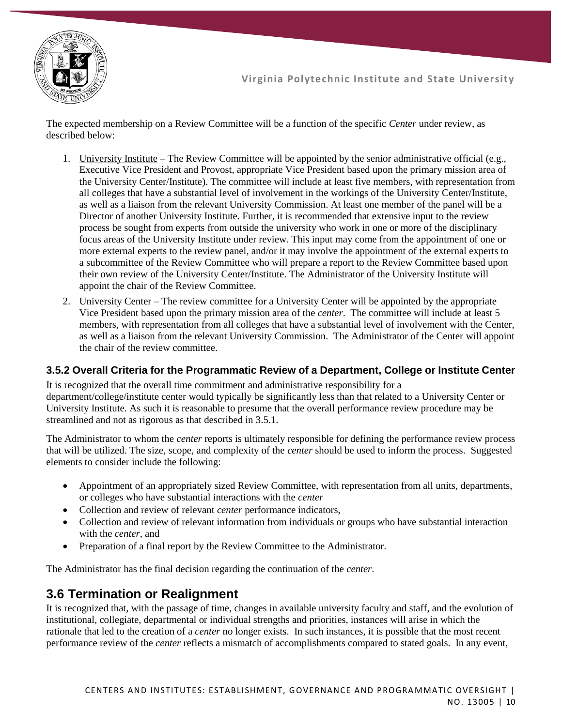

The expected membership on a Review Committee will be a function of the specific *Center* under review, as described below:

- 1. University Institute The Review Committee will be appointed by the senior administrative official (e.g., Executive Vice President and Provost, appropriate Vice President based upon the primary mission area of the University Center/Institute). The committee will include at least five members, with representation from all colleges that have a substantial level of involvement in the workings of the University Center/Institute, as well as a liaison from the relevant University Commission. At least one member of the panel will be a Director of another University Institute. Further, it is recommended that extensive input to the review process be sought from experts from outside the university who work in one or more of the disciplinary focus areas of the University Institute under review. This input may come from the appointment of one or more external experts to the review panel, and/or it may involve the appointment of the external experts to a subcommittee of the Review Committee who will prepare a report to the Review Committee based upon their own review of the University Center/Institute. The Administrator of the University Institute will appoint the chair of the Review Committee.
- 2. University Center The review committee for a University Center will be appointed by the appropriate Vice President based upon the primary mission area of the *center*. The committee will include at least 5 members, with representation from all colleges that have a substantial level of involvement with the Center, as well as a liaison from the relevant University Commission. The Administrator of the Center will appoint the chair of the review committee.

#### **3.5.2 Overall Criteria for the Programmatic Review of a Department, College or Institute Center**

It is recognized that the overall time commitment and administrative responsibility for a department/college/institute center would typically be significantly less than that related to a University Center or University Institute. As such it is reasonable to presume that the overall performance review procedure may be streamlined and not as rigorous as that described in 3.5.1.

The Administrator to whom the *center* reports is ultimately responsible for defining the performance review process that will be utilized. The size, scope, and complexity of the *center* should be used to inform the process. Suggested elements to consider include the following:

- Appointment of an appropriately sized Review Committee, with representation from all units, departments, or colleges who have substantial interactions with the *center*
- Collection and review of relevant *center* performance indicators,
- Collection and review of relevant information from individuals or groups who have substantial interaction with the *center*, and
- Preparation of a final report by the Review Committee to the Administrator.

The Administrator has the final decision regarding the continuation of the *center*.

### **3.6 Termination or Realignment**

It is recognized that, with the passage of time, changes in available university faculty and staff, and the evolution of institutional, collegiate, departmental or individual strengths and priorities, instances will arise in which the rationale that led to the creation of a *center* no longer exists. In such instances, it is possible that the most recent performance review of the *center* reflects a mismatch of accomplishments compared to stated goals. In any event,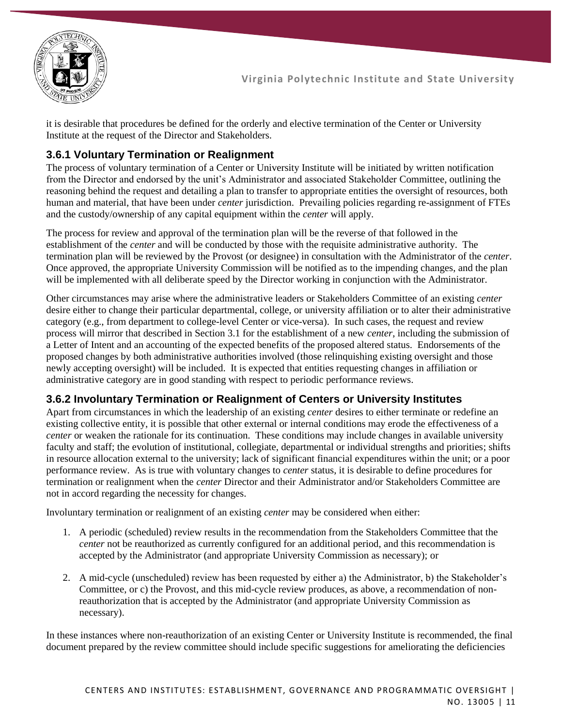

it is desirable that procedures be defined for the orderly and elective termination of the Center or University Institute at the request of the Director and Stakeholders.

#### **3.6.1 Voluntary Termination or Realignment**

The process of voluntary termination of a Center or University Institute will be initiated by written notification from the Director and endorsed by the unit's Administrator and associated Stakeholder Committee, outlining the reasoning behind the request and detailing a plan to transfer to appropriate entities the oversight of resources, both human and material, that have been under *center* jurisdiction. Prevailing policies regarding re-assignment of FTEs and the custody/ownership of any capital equipment within the *center* will apply.

The process for review and approval of the termination plan will be the reverse of that followed in the establishment of the *center* and will be conducted by those with the requisite administrative authority. The termination plan will be reviewed by the Provost (or designee) in consultation with the Administrator of the *center*. Once approved, the appropriate University Commission will be notified as to the impending changes, and the plan will be implemented with all deliberate speed by the Director working in conjunction with the Administrator.

Other circumstances may arise where the administrative leaders or Stakeholders Committee of an existing *center* desire either to change their particular departmental, college, or university affiliation or to alter their administrative category (e.g., from department to college-level Center or vice-versa). In such cases, the request and review process will mirror that described in Section 3.1 for the establishment of a new *center*, including the submission of a Letter of Intent and an accounting of the expected benefits of the proposed altered status. Endorsements of the proposed changes by both administrative authorities involved (those relinquishing existing oversight and those newly accepting oversight) will be included. It is expected that entities requesting changes in affiliation or administrative category are in good standing with respect to periodic performance reviews.

#### **3.6.2 Involuntary Termination or Realignment of Centers or University Institutes**

Apart from circumstances in which the leadership of an existing *center* desires to either terminate or redefine an existing collective entity, it is possible that other external or internal conditions may erode the effectiveness of a *center* or weaken the rationale for its continuation. These conditions may include changes in available university faculty and staff; the evolution of institutional, collegiate, departmental or individual strengths and priorities; shifts in resource allocation external to the university; lack of significant financial expenditures within the unit; or a poor performance review. As is true with voluntary changes to *center* status, it is desirable to define procedures for termination or realignment when the *center* Director and their Administrator and/or Stakeholders Committee are not in accord regarding the necessity for changes.

Involuntary termination or realignment of an existing *center* may be considered when either:

- 1. A periodic (scheduled) review results in the recommendation from the Stakeholders Committee that the *center* not be reauthorized as currently configured for an additional period, and this recommendation is accepted by the Administrator (and appropriate University Commission as necessary); or
- 2. A mid-cycle (unscheduled) review has been requested by either a) the Administrator, b) the Stakeholder's Committee, or c) the Provost, and this mid-cycle review produces, as above, a recommendation of nonreauthorization that is accepted by the Administrator (and appropriate University Commission as necessary).

In these instances where non-reauthorization of an existing Center or University Institute is recommended, the final document prepared by the review committee should include specific suggestions for ameliorating the deficiencies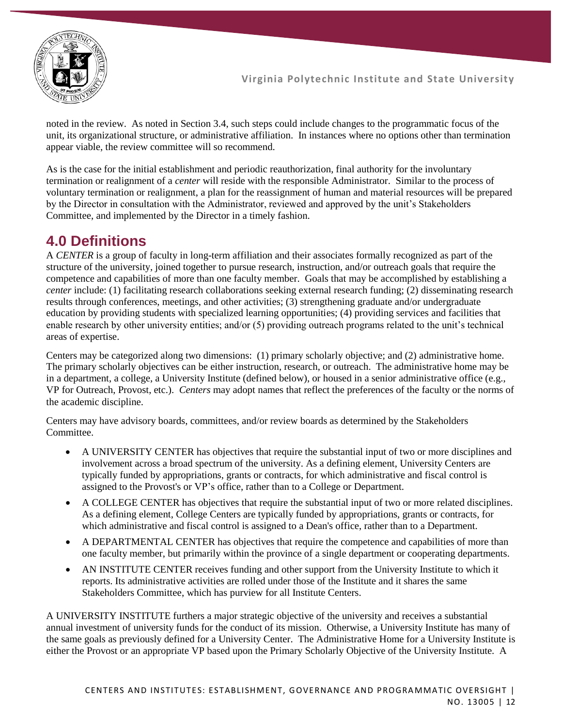

noted in the review. As noted in Section 3.4, such steps could include changes to the programmatic focus of the unit, its organizational structure, or administrative affiliation. In instances where no options other than termination appear viable, the review committee will so recommend.

As is the case for the initial establishment and periodic reauthorization, final authority for the involuntary termination or realignment of a *center* will reside with the responsible Administrator. Similar to the process of voluntary termination or realignment, a plan for the reassignment of human and material resources will be prepared by the Director in consultation with the Administrator, reviewed and approved by the unit's Stakeholders Committee, and implemented by the Director in a timely fashion.

### **4.0 Definitions**

A *CENTER* is a group of faculty in long-term affiliation and their associates formally recognized as part of the structure of the university, joined together to pursue research, instruction, and/or outreach goals that require the competence and capabilities of more than one faculty member. Goals that may be accomplished by establishing a *center* include: (1) facilitating research collaborations seeking external research funding; (2) disseminating research results through conferences, meetings, and other activities; (3) strengthening graduate and/or undergraduate education by providing students with specialized learning opportunities; (4) providing services and facilities that enable research by other university entities; and/or (5) providing outreach programs related to the unit's technical areas of expertise.

Centers may be categorized along two dimensions: (1) primary scholarly objective; and (2) administrative home. The primary scholarly objectives can be either instruction, research, or outreach. The administrative home may be in a department, a college, a University Institute (defined below), or housed in a senior administrative office (e.g., VP for Outreach, Provost, etc.). *Centers* may adopt names that reflect the preferences of the faculty or the norms of the academic discipline.

Centers may have advisory boards, committees, and/or review boards as determined by the Stakeholders Committee.

- A UNIVERSITY CENTER has objectives that require the substantial input of two or more disciplines and involvement across a broad spectrum of the university. As a defining element, University Centers are typically funded by appropriations, grants or contracts, for which administrative and fiscal control is assigned to the Provost's or VP's office, rather than to a College or Department.
- A COLLEGE CENTER has objectives that require the substantial input of two or more related disciplines. As a defining element, College Centers are typically funded by appropriations, grants or contracts, for which administrative and fiscal control is assigned to a Dean's office, rather than to a Department.
- A DEPARTMENTAL CENTER has objectives that require the competence and capabilities of more than one faculty member, but primarily within the province of a single department or cooperating departments.
- AN INSTITUTE CENTER receives funding and other support from the University Institute to which it reports. Its administrative activities are rolled under those of the Institute and it shares the same Stakeholders Committee, which has purview for all Institute Centers.

A UNIVERSITY INSTITUTE furthers a major strategic objective of the university and receives a substantial annual investment of university funds for the conduct of its mission. Otherwise, a University Institute has many of the same goals as previously defined for a University Center. The Administrative Home for a University Institute is either the Provost or an appropriate VP based upon the Primary Scholarly Objective of the University Institute. A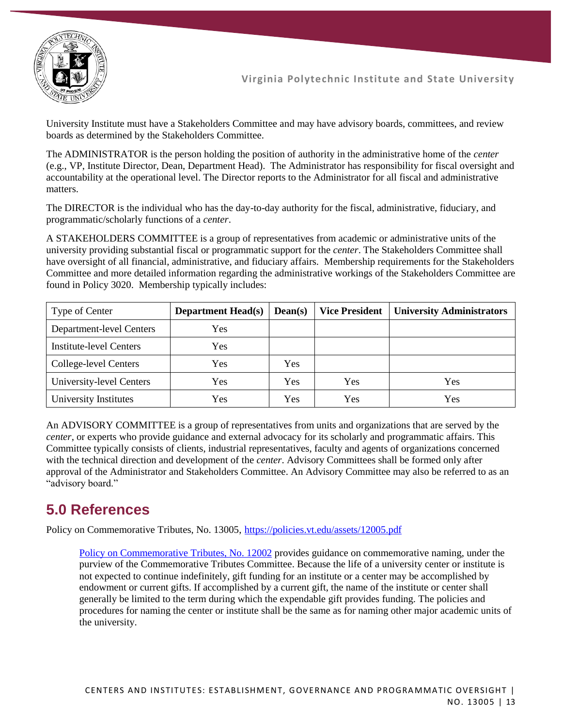

University Institute must have a Stakeholders Committee and may have advisory boards, committees, and review boards as determined by the Stakeholders Committee.

The ADMINISTRATOR is the person holding the position of authority in the administrative home of the *center*  (e.g., VP, Institute Director, Dean, Department Head). The Administrator has responsibility for fiscal oversight and accountability at the operational level. The Director reports to the Administrator for all fiscal and administrative matters.

The DIRECTOR is the individual who has the day-to-day authority for the fiscal, administrative, fiduciary, and programmatic/scholarly functions of a *center*.

A STAKEHOLDERS COMMITTEE is a group of representatives from academic or administrative units of the university providing substantial fiscal or programmatic support for the *center*. The Stakeholders Committee shall have oversight of all financial, administrative, and fiduciary affairs. Membership requirements for the Stakeholders Committee and more detailed information regarding the administrative workings of the Stakeholders Committee are found in Policy 3020. Membership typically includes:

| Type of Center           | <b>Department Head(s)</b> | $Dean(s)$ | <b>Vice President</b> | <b>University Administrators</b> |
|--------------------------|---------------------------|-----------|-----------------------|----------------------------------|
| Department-level Centers | <b>Yes</b>                |           |                       |                                  |
| Institute-level Centers  | Yes                       |           |                       |                                  |
| College-level Centers    | Yes                       | Yes       |                       |                                  |
| University-level Centers | Yes                       | Yes       | Yes                   | Yes                              |
| University Institutes    | Yes                       | Yes       | Yes                   | Yes                              |

An ADVISORY COMMITTEE is a group of representatives from units and organizations that are served by the *center*, or experts who provide guidance and external advocacy for its scholarly and programmatic affairs. This Committee typically consists of clients, industrial representatives, faculty and agents of organizations concerned with the technical direction and development of the *center*. Advisory Committees shall be formed only after approval of the Administrator and Stakeholders Committee. An Advisory Committee may also be referred to as an "advisory board."

# **5.0 References**

Policy on Commemorative Tributes, No. 13005,<https://policies.vt.edu/assets/12005.pdf>

[Policy on Commemorative Tributes, No. 12002](https://policies.vt.edu/assets/12005.pdf) provides guidance on commemorative naming, under the purview of the Commemorative Tributes Committee. Because the life of a university center or institute is not expected to continue indefinitely, gift funding for an institute or a center may be accomplished by endowment or current gifts. If accomplished by a current gift, the name of the institute or center shall generally be limited to the term during which the expendable gift provides funding. The policies and procedures for naming the center or institute shall be the same as for naming other major academic units of the university.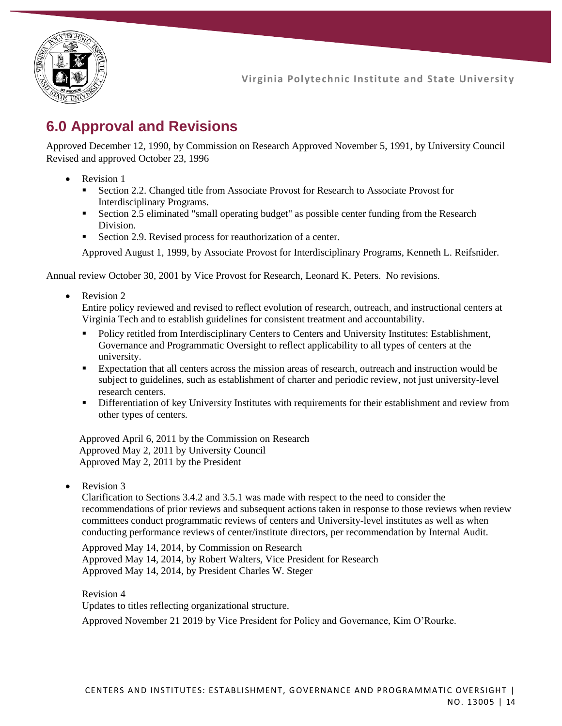

# **6.0 Approval and Revisions**

Approved December 12, 1990, by Commission on Research Approved November 5, 1991, by University Council Revised and approved October 23, 1996

- Revision 1
	- **EXECT** Section 2.2. Changed title from Associate Provost for Research to Associate Provost for Interdisciplinary Programs.
	- **•** Section 2.5 eliminated "small operating budget" as possible center funding from the Research Division.
	- Section 2.9. Revised process for reauthorization of a center.

Approved August 1, 1999, by Associate Provost for Interdisciplinary Programs, Kenneth L. Reifsnider.

Annual review October 30, 2001 by Vice Provost for Research, Leonard K. Peters. No revisions.

Revision 2

Entire policy reviewed and revised to reflect evolution of research, outreach, and instructional centers at Virginia Tech and to establish guidelines for consistent treatment and accountability.

- Policy retitled from Interdisciplinary Centers to Centers and University Institutes: Establishment, Governance and Programmatic Oversight to reflect applicability to all types of centers at the university.
- Expectation that all centers across the mission areas of research, outreach and instruction would be subject to guidelines, such as establishment of charter and periodic review, not just university-level research centers.
- **EXECUTE:** Differentiation of key University Institutes with requirements for their establishment and review from other types of centers.

Approved April 6, 2011 by the Commission on Research Approved May 2, 2011 by University Council Approved May 2, 2011 by the President

Revision 3

Clarification to Sections 3.4.2 and 3.5.1 was made with respect to the need to consider the recommendations of prior reviews and subsequent actions taken in response to those reviews when review committees conduct programmatic reviews of centers and University-level institutes as well as when conducting performance reviews of center/institute directors, per recommendation by Internal Audit.

Approved May 14, 2014, by Commission on Research Approved May 14, 2014, by Robert Walters, Vice President for Research Approved May 14, 2014, by President Charles W. Steger

Revision 4

Updates to titles reflecting organizational structure.

Approved November 21 2019 by Vice President for Policy and Governance, Kim O'Rourke.